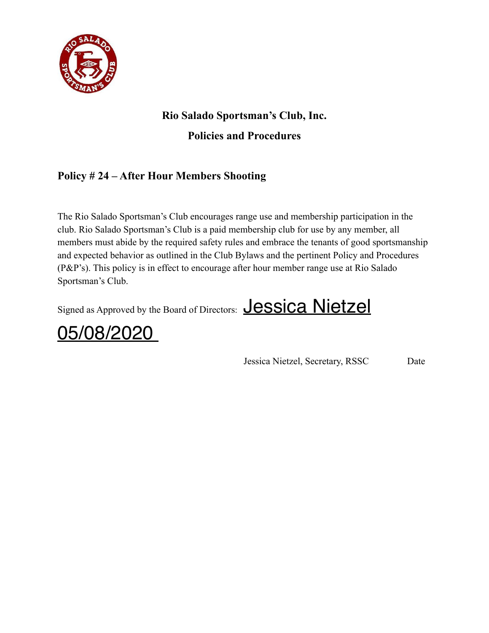

# **Rio Salado Sportsman's Club, Inc.**

**Policies and Procedures**

### **Policy # 24 – After Hour Members Shooting**

The Rio Salado Sportsman's Club encourages range use and membership participation in the club. Rio Salado Sportsman's Club is a paid membership club for use by any member, all members must abide by the required safety rules and embrace the tenants of good sportsmanship and expected behavior as outlined in the Club Bylaws and the pertinent Policy and Procedures (P&P's). This policy is in effect to encourage after hour member range use at Rio Salado Sportsman's Club.

Signed as Approved by the Board of Directors: **Jessica Nietzel** 



Jessica Nietzel, Secretary, RSSC Date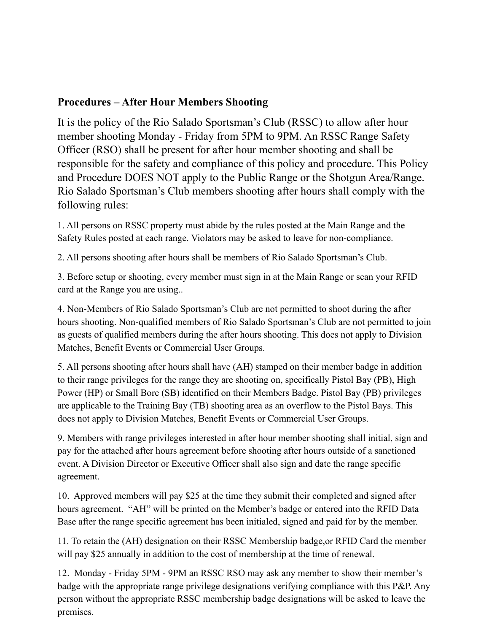### **Procedures – After Hour Members Shooting**

It is the policy of the Rio Salado Sportsman's Club (RSSC) to allow after hour member shooting Monday - Friday from 5PM to 9PM. An RSSC Range Safety Officer (RSO) shall be present for after hour member shooting and shall be responsible for the safety and compliance of this policy and procedure. This Policy and Procedure DOES NOT apply to the Public Range or the Shotgun Area/Range. Rio Salado Sportsman's Club members shooting after hours shall comply with the following rules:

1. All persons on RSSC property must abide by the rules posted at the Main Range and the Safety Rules posted at each range. Violators may be asked to leave for non-compliance.

2. All persons shooting after hours shall be members of Rio Salado Sportsman's Club.

3. Before setup or shooting, every member must sign in at the Main Range or scan your RFID card at the Range you are using..

4. Non-Members of Rio Salado Sportsman's Club are not permitted to shoot during the after hours shooting. Non-qualified members of Rio Salado Sportsman's Club are not permitted to join as guests of qualified members during the after hours shooting. This does not apply to Division Matches, Benefit Events or Commercial User Groups.

5. All persons shooting after hours shall have (AH) stamped on their member badge in addition to their range privileges for the range they are shooting on, specifically Pistol Bay (PB), High Power (HP) or Small Bore (SB) identified on their Members Badge. Pistol Bay (PB) privileges are applicable to the Training Bay (TB) shooting area as an overflow to the Pistol Bays. This does not apply to Division Matches, Benefit Events or Commercial User Groups.

9. Members with range privileges interested in after hour member shooting shall initial, sign and pay for the attached after hours agreement before shooting after hours outside of a sanctioned event. A Division Director or Executive Officer shall also sign and date the range specific agreement.

10. Approved members will pay \$25 at the time they submit their completed and signed after hours agreement. "AH" will be printed on the Member's badge or entered into the RFID Data Base after the range specific agreement has been initialed, signed and paid for by the member.

11. To retain the (AH) designation on their RSSC Membership badge,or RFID Card the member will pay \$25 annually in addition to the cost of membership at the time of renewal.

12. Monday - Friday 5PM - 9PM an RSSC RSO may ask any member to show their member's badge with the appropriate range privilege designations verifying compliance with this P&P. Any person without the appropriate RSSC membership badge designations will be asked to leave the premises.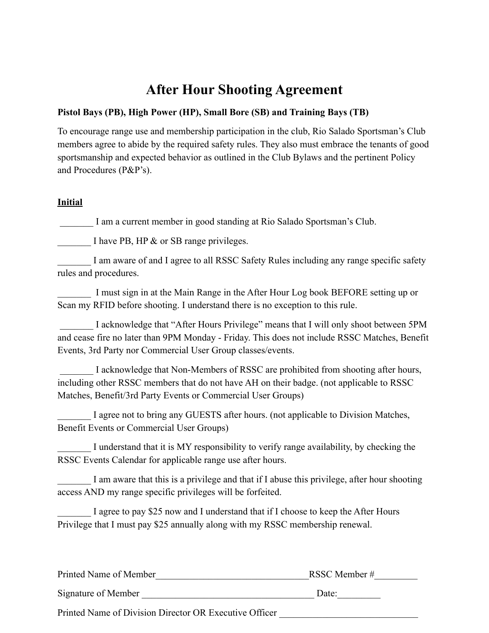# **After Hour Shooting Agreement**

#### **Pistol Bays (PB), High Power (HP), Small Bore (SB) and Training Bays (TB)**

To encourage range use and membership participation in the club, Rio Salado Sportsman's Club members agree to abide by the required safety rules. They also must embrace the tenants of good sportsmanship and expected behavior as outlined in the Club Bylaws and the pertinent Policy and Procedures (P&P's).

#### **Initial**

I am a current member in good standing at Rio Salado Sportsman's Club.

I have PB, HP  $\&$  or SB range privileges.

I am aware of and I agree to all RSSC Safety Rules including any range specific safety rules and procedures.

I must sign in at the Main Range in the After Hour Log book BEFORE setting up or Scan my RFID before shooting. I understand there is no exception to this rule.

I acknowledge that "After Hours Privilege" means that I will only shoot between 5PM and cease fire no later than 9PM Monday - Friday. This does not include RSSC Matches, Benefit Events, 3rd Party nor Commercial User Group classes/events.

I acknowledge that Non-Members of RSSC are prohibited from shooting after hours, including other RSSC members that do not have AH on their badge. (not applicable to RSSC Matches, Benefit/3rd Party Events or Commercial User Groups)

I agree not to bring any GUESTS after hours. (not applicable to Division Matches, Benefit Events or Commercial User Groups)

I understand that it is MY responsibility to verify range availability, by checking the RSSC Events Calendar for applicable range use after hours.

I am aware that this is a privilege and that if I abuse this privilege, after hour shooting access AND my range specific privileges will be forfeited.

I agree to pay \$25 now and I understand that if I choose to keep the After Hours Privilege that I must pay \$25 annually along with my RSSC membership renewal.

| Printed Name of Member                                 | RSSC Member # |
|--------------------------------------------------------|---------------|
| Signature of Member                                    | Date:         |
| Printed Name of Division Director OR Executive Officer |               |